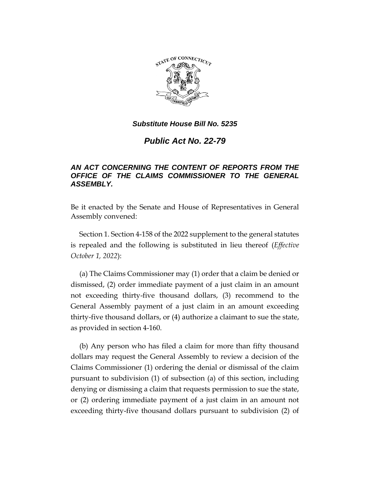

*Public Act No. 22-79*

# *AN ACT CONCERNING THE CONTENT OF REPORTS FROM THE OFFICE OF THE CLAIMS COMMISSIONER TO THE GENERAL ASSEMBLY.*

Be it enacted by the Senate and House of Representatives in General Assembly convened:

Section 1. Section 4-158 of the 2022 supplement to the general statutes is repealed and the following is substituted in lieu thereof (*Effective October 1, 2022*):

(a) The Claims Commissioner may (1) order that a claim be denied or dismissed, (2) order immediate payment of a just claim in an amount not exceeding thirty-five thousand dollars, (3) recommend to the General Assembly payment of a just claim in an amount exceeding thirty-five thousand dollars, or (4) authorize a claimant to sue the state, as provided in section 4-160.

(b) Any person who has filed a claim for more than fifty thousand dollars may request the General Assembly to review a decision of the Claims Commissioner (1) ordering the denial or dismissal of the claim pursuant to subdivision (1) of subsection (a) of this section, including denying or dismissing a claim that requests permission to sue the state, or (2) ordering immediate payment of a just claim in an amount not exceeding thirty-five thousand dollars pursuant to subdivision (2) of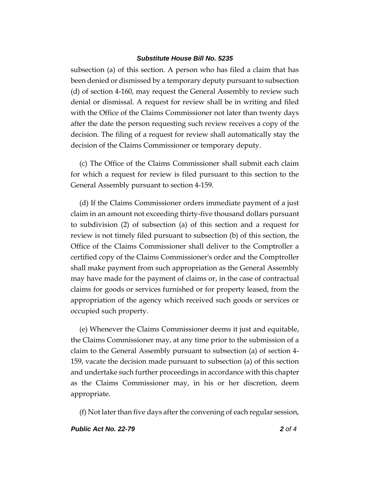subsection (a) of this section. A person who has filed a claim that has been denied or dismissed by a temporary deputy pursuant to subsection (d) of section 4-160, may request the General Assembly to review such denial or dismissal. A request for review shall be in writing and filed with the Office of the Claims Commissioner not later than twenty days after the date the person requesting such review receives a copy of the decision. The filing of a request for review shall automatically stay the decision of the Claims Commissioner or temporary deputy.

(c) The Office of the Claims Commissioner shall submit each claim for which a request for review is filed pursuant to this section to the General Assembly pursuant to section 4-159.

(d) If the Claims Commissioner orders immediate payment of a just claim in an amount not exceeding thirty-five thousand dollars pursuant to subdivision (2) of subsection (a) of this section and a request for review is not timely filed pursuant to subsection (b) of this section, the Office of the Claims Commissioner shall deliver to the Comptroller a certified copy of the Claims Commissioner's order and the Comptroller shall make payment from such appropriation as the General Assembly may have made for the payment of claims or, in the case of contractual claims for goods or services furnished or for property leased, from the appropriation of the agency which received such goods or services or occupied such property.

(e) Whenever the Claims Commissioner deems it just and equitable, the Claims Commissioner may, at any time prior to the submission of a claim to the General Assembly pursuant to subsection (a) of section 4- 159, vacate the decision made pursuant to subsection (a) of this section and undertake such further proceedings in accordance with this chapter as the Claims Commissioner may, in his or her discretion, deem appropriate.

(f) Not later than five days after the convening of each regular session,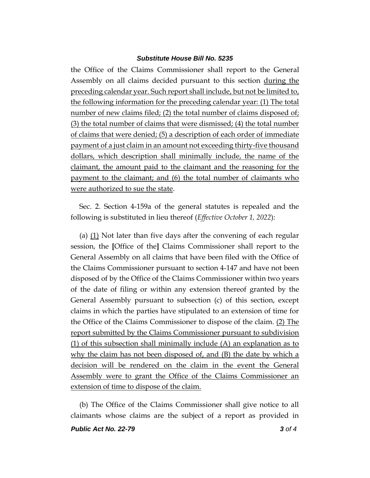the Office of the Claims Commissioner shall report to the General Assembly on all claims decided pursuant to this section during the preceding calendar year. Such report shall include, but not be limited to, the following information for the preceding calendar year: (1) The total number of new claims filed; (2) the total number of claims disposed of; (3) the total number of claims that were dismissed; (4) the total number of claims that were denied; (5) a description of each order of immediate payment of a just claim in an amount not exceeding thirty-five thousand dollars, which description shall minimally include, the name of the claimant, the amount paid to the claimant and the reasoning for the payment to the claimant; and (6) the total number of claimants who were authorized to sue the state.

Sec. 2. Section 4-159a of the general statutes is repealed and the following is substituted in lieu thereof (*Effective October 1, 2022*):

(a) (1) Not later than five days after the convening of each regular session, the **[**Office of the**]** Claims Commissioner shall report to the General Assembly on all claims that have been filed with the Office of the Claims Commissioner pursuant to section 4-147 and have not been disposed of by the Office of the Claims Commissioner within two years of the date of filing or within any extension thereof granted by the General Assembly pursuant to subsection (c) of this section, except claims in which the parties have stipulated to an extension of time for the Office of the Claims Commissioner to dispose of the claim. (2) The report submitted by the Claims Commissioner pursuant to subdivision (1) of this subsection shall minimally include (A) an explanation as to why the claim has not been disposed of, and (B) the date by which a decision will be rendered on the claim in the event the General Assembly were to grant the Office of the Claims Commissioner an extension of time to dispose of the claim.

(b) The Office of the Claims Commissioner shall give notice to all claimants whose claims are the subject of a report as provided in